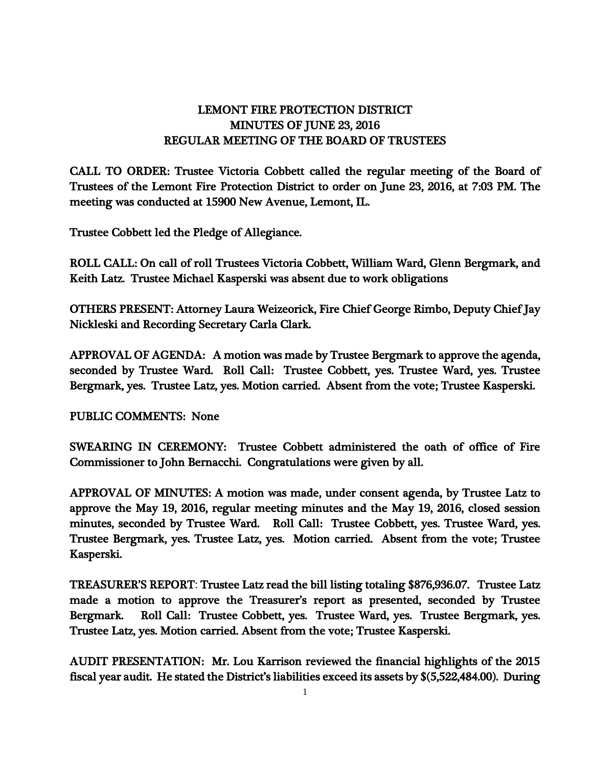## LEMONT FIRE PROTECTION DISTRICT MINUTES OF JUNE 23, 2016 REGULAR MEETING OF THE BOARD OF TRUSTEES

CALL TO ORDER: Trustee Victoria Cobbett called the regular meeting of the Board of Trustees of the Lemont Fire Protection District to order on June 23, 2016, at 7:03 PM. The meeting was conducted at 15900 New Avenue, Lemont, IL.

Trustee Cobbett led the Pledge of Allegiance.

ROLL CALL: On call of roll Trustees Victoria Cobbett, William Ward, Glenn Bergmark, and Keith Latz. Trustee Michael Kasperski was absent due to work obligations

OTHERS PRESENT: Attorney Laura Weizeorick, Fire Chief George Rimbo, Deputy Chief Jay Nickleski and Recording Secretary Carla Clark.

APPROVAL OF AGENDA: A motion was made by Trustee Bergmark to approve the agenda, seconded by Trustee Ward. Roll Call: Trustee Cobbett, yes. Trustee Ward, yes. Trustee Bergmark, yes. Trustee Latz, yes. Motion carried. Absent from the vote; Trustee Kasperski.

PUBLIC COMMENTS: None

SWEARING IN CEREMONY: Trustee Cobbett administered the oath of office of Fire Commissioner to John Bernacchi. Congratulations were given by all.

APPROVAL OF MINUTES: A motion was made, under consent agenda, by Trustee Latz to approve the May 19, 2016, regular meeting minutes and the May 19, 2016, closed session minutes, seconded by Trustee Ward. Roll Call: Trustee Cobbett, yes. Trustee Ward, yes. Trustee Bergmark, yes. Trustee Latz, yes. Motion carried. Absent from the vote; Trustee Kasperski.

TREASURER'S REPORT: Trustee Latz read the bill listing totaling \$876,936.07. Trustee Latz made a motion to approve the Treasurer's report as presented, seconded by Trustee Bergmark. Roll Call: Trustee Cobbett, yes. Trustee Ward, yes. Trustee Bergmark, yes. Trustee Latz, yes. Motion carried. Absent from the vote; Trustee Kasperski.

AUDIT PRESENTATION: Mr. Lou Karrison reviewed the financial highlights of the 2015 fiscal year audit. He stated the District's liabilities exceed its assets by \$(5,522,484.00). During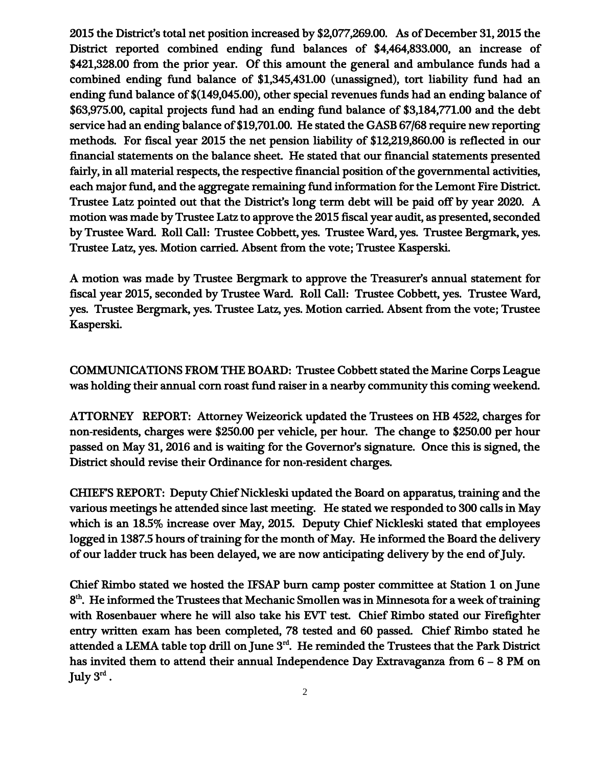2015 the District's total net position increased by \$2,077,269.00. As of December 31, 2015 the District reported combined ending fund balances of \$4,464,833.000, an increase of \$421,328.00 from the prior year. Of this amount the general and ambulance funds had a combined ending fund balance of \$1,345,431.00 (unassigned), tort liability fund had an ending fund balance of \$(149,045.00), other special revenues funds had an ending balance of \$63,975.00, capital projects fund had an ending fund balance of \$3,184,771.00 and the debt service had an ending balance of \$19,701.00. He stated the GASB 67/68 require new reporting methods. For fiscal year 2015 the net pension liability of \$12,219,860.00 is reflected in our financial statements on the balance sheet. He stated that our financial statements presented fairly, in all material respects, the respective financial position of the governmental activities, each major fund, and the aggregate remaining fund information for the Lemont Fire District. Trustee Latz pointed out that the District's long term debt will be paid off by year 2020. A motion was made by Trustee Latz to approve the 2015 fiscal year audit, as presented, seconded by Trustee Ward. Roll Call: Trustee Cobbett, yes. Trustee Ward, yes. Trustee Bergmark, yes. Trustee Latz, yes. Motion carried. Absent from the vote; Trustee Kasperski.

A motion was made by Trustee Bergmark to approve the Treasurer's annual statement for fiscal year 2015, seconded by Trustee Ward. Roll Call: Trustee Cobbett, yes. Trustee Ward, yes. Trustee Bergmark, yes. Trustee Latz, yes. Motion carried. Absent from the vote; Trustee Kasperski.

COMMUNICATIONS FROM THE BOARD: Trustee Cobbett stated the Marine Corps League was holding their annual corn roast fund raiser in a nearby community this coming weekend.

ATTORNEY REPORT: Attorney Weizeorick updated the Trustees on HB 4522, charges for non-residents, charges were \$250.00 per vehicle, per hour. The change to \$250.00 per hour passed on May 31, 2016 and is waiting for the Governor's signature. Once this is signed, the District should revise their Ordinance for non-resident charges.

CHIEF'S REPORT: Deputy Chief Nickleski updated the Board on apparatus, training and the various meetings he attended since last meeting. He stated we responded to 300 calls in May which is an 18.5% increase over May, 2015. Deputy Chief Nickleski stated that employees logged in 1387.5 hours of training for the month of May. He informed the Board the delivery of our ladder truck has been delayed, we are now anticipating delivery by the end of July.

Chief Rimbo stated we hosted the IFSAP burn camp poster committee at Station 1 on June 8<sup>th</sup>. He informed the Trustees that Mechanic Smollen was in Minnesota for a week of training with Rosenbauer where he will also take his EVT test. Chief Rimbo stated our Firefighter entry written exam has been completed, 78 tested and 60 passed. Chief Rimbo stated he attended a LEMA table top drill on June  $3<sup>rd</sup>$ . He reminded the Trustees that the Park District has invited them to attend their annual Independence Day Extravaganza from 6 – 8 PM on July  $3^{\rm rd}$  .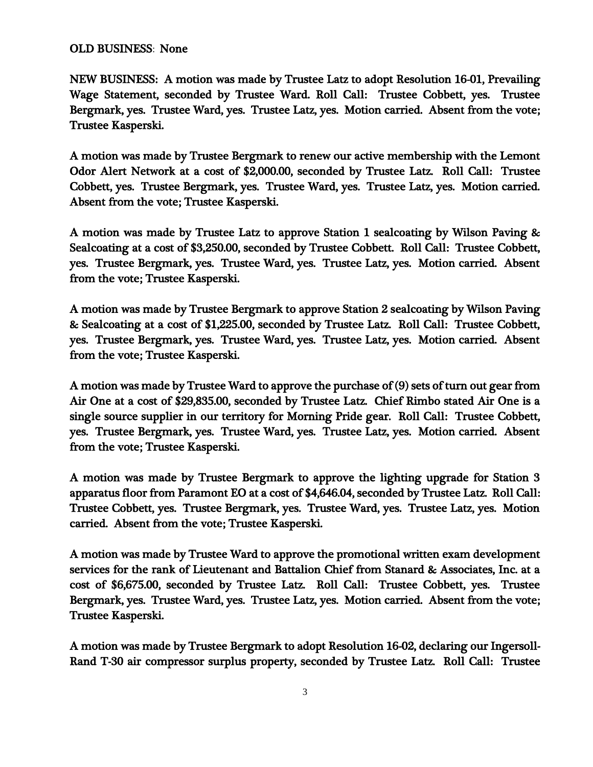## OLD BUSINESS: None

NEW BUSINESS: A motion was made by Trustee Latz to adopt Resolution 16-01, Prevailing Wage Statement, seconded by Trustee Ward. Roll Call: Trustee Cobbett, yes. Trustee Bergmark, yes. Trustee Ward, yes. Trustee Latz, yes. Motion carried. Absent from the vote; Trustee Kasperski.

A motion was made by Trustee Bergmark to renew our active membership with the Lemont Odor Alert Network at a cost of \$2,000.00, seconded by Trustee Latz. Roll Call: Trustee Cobbett, yes. Trustee Bergmark, yes. Trustee Ward, yes. Trustee Latz, yes. Motion carried. Absent from the vote; Trustee Kasperski.

A motion was made by Trustee Latz to approve Station 1 sealcoating by Wilson Paving & Sealcoating at a cost of \$3,250.00, seconded by Trustee Cobbett. Roll Call: Trustee Cobbett, yes. Trustee Bergmark, yes. Trustee Ward, yes. Trustee Latz, yes. Motion carried. Absent from the vote; Trustee Kasperski.

A motion was made by Trustee Bergmark to approve Station 2 sealcoating by Wilson Paving & Sealcoating at a cost of \$1,225.00, seconded by Trustee Latz. Roll Call: Trustee Cobbett, yes. Trustee Bergmark, yes. Trustee Ward, yes. Trustee Latz, yes. Motion carried. Absent from the vote; Trustee Kasperski.

A motion was made by Trustee Ward to approve the purchase of (9) sets of turn out gear from Air One at a cost of \$29,835.00, seconded by Trustee Latz. Chief Rimbo stated Air One is a single source supplier in our territory for Morning Pride gear. Roll Call: Trustee Cobbett, yes. Trustee Bergmark, yes. Trustee Ward, yes. Trustee Latz, yes. Motion carried. Absent from the vote; Trustee Kasperski.

A motion was made by Trustee Bergmark to approve the lighting upgrade for Station 3 apparatus floor from Paramont EO at a cost of \$4,646.04, seconded by Trustee Latz. Roll Call: Trustee Cobbett, yes. Trustee Bergmark, yes. Trustee Ward, yes. Trustee Latz, yes. Motion carried. Absent from the vote; Trustee Kasperski.

A motion was made by Trustee Ward to approve the promotional written exam development services for the rank of Lieutenant and Battalion Chief from Stanard & Associates, Inc. at a cost of \$6,675.00, seconded by Trustee Latz. Roll Call: Trustee Cobbett, yes. Trustee Bergmark, yes. Trustee Ward, yes. Trustee Latz, yes. Motion carried. Absent from the vote; Trustee Kasperski.

A motion was made by Trustee Bergmark to adopt Resolution 16-02, declaring our Ingersoll-Rand T-30 air compressor surplus property, seconded by Trustee Latz. Roll Call: Trustee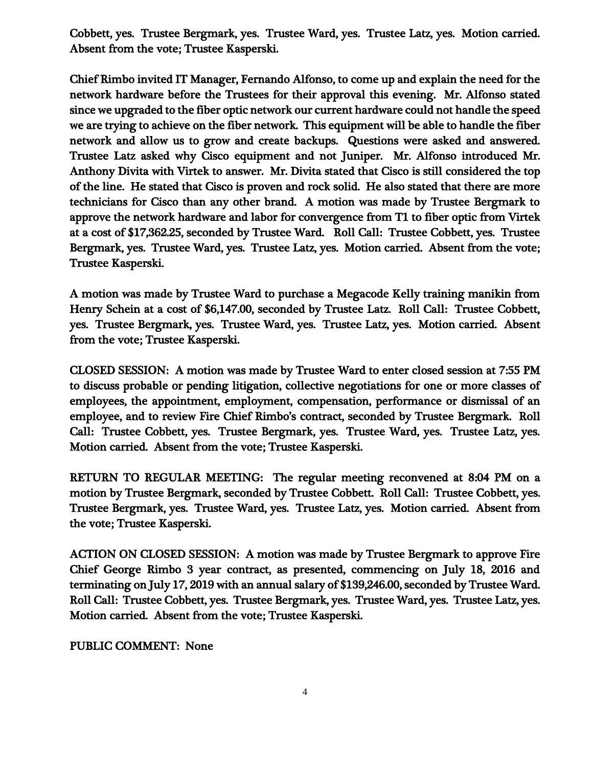Cobbett, yes. Trustee Bergmark, yes. Trustee Ward, yes. Trustee Latz, yes. Motion carried. Absent from the vote; Trustee Kasperski.

Chief Rimbo invited IT Manager, Fernando Alfonso, to come up and explain the need for the network hardware before the Trustees for their approval this evening. Mr. Alfonso stated since we upgraded to the fiber optic network our current hardware could not handle the speed we are trying to achieve on the fiber network. This equipment will be able to handle the fiber network and allow us to grow and create backups. Questions were asked and answered. Trustee Latz asked why Cisco equipment and not Juniper. Mr. Alfonso introduced Mr. Anthony Divita with Virtek to answer. Mr. Divita stated that Cisco is still considered the top of the line. He stated that Cisco is proven and rock solid. He also stated that there are more technicians for Cisco than any other brand. A motion was made by Trustee Bergmark to approve the network hardware and labor for convergence from T1 to fiber optic from Virtek at a cost of \$17,362.25, seconded by Trustee Ward. Roll Call: Trustee Cobbett, yes. Trustee Bergmark, yes. Trustee Ward, yes. Trustee Latz, yes. Motion carried. Absent from the vote; Trustee Kasperski.

A motion was made by Trustee Ward to purchase a Megacode Kelly training manikin from Henry Schein at a cost of \$6,147.00, seconded by Trustee Latz. Roll Call: Trustee Cobbett, yes. Trustee Bergmark, yes. Trustee Ward, yes. Trustee Latz, yes. Motion carried. Absent from the vote; Trustee Kasperski.

CLOSED SESSION: A motion was made by Trustee Ward to enter closed session at 7:55 PM to discuss probable or pending litigation, collective negotiations for one or more classes of employees, the appointment, employment, compensation, performance or dismissal of an employee, and to review Fire Chief Rimbo's contract, seconded by Trustee Bergmark. Roll Call: Trustee Cobbett, yes. Trustee Bergmark, yes. Trustee Ward, yes. Trustee Latz, yes. Motion carried. Absent from the vote; Trustee Kasperski.

RETURN TO REGULAR MEETING: The regular meeting reconvened at 8:04 PM on a motion by Trustee Bergmark, seconded by Trustee Cobbett. Roll Call: Trustee Cobbett, yes. Trustee Bergmark, yes. Trustee Ward, yes. Trustee Latz, yes. Motion carried. Absent from the vote; Trustee Kasperski.

ACTION ON CLOSED SESSION: A motion was made by Trustee Bergmark to approve Fire Chief George Rimbo 3 year contract, as presented, commencing on July 18, 2016 and terminating on July 17, 2019 with an annual salary of \$139,246.00, seconded by Trustee Ward. Roll Call: Trustee Cobbett, yes. Trustee Bergmark, yes. Trustee Ward, yes. Trustee Latz, yes. Motion carried. Absent from the vote; Trustee Kasperski.

## PUBLIC COMMENT: None